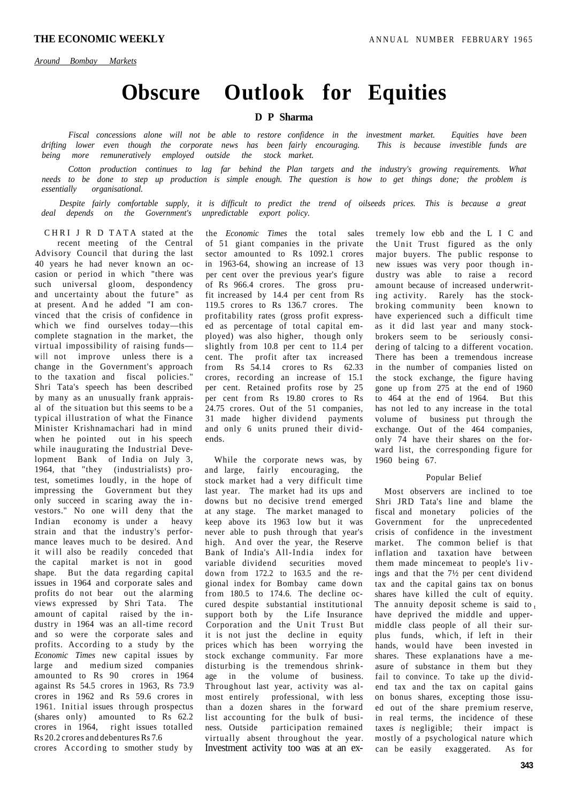# **Obscure Outlook for Equities**

# **D P Sharma**

*Fiscal concessions alone will not be able to restore confidence in the investment market. Equities have been drifting lower even though the corporate news has been fairly encouraging. This is because investible funds are being more remuneratively employed outside the stock market.* 

*Cotton production continues to lag far behind the Plan targets and the industry's growing requirements. What needs to be done to step up production is simple enough. The question is how to get things done; the problem is essentially organisational.* 

*Despite fairly comfortable supply, it is difficult to predict the trend of oilseeds prices. This is because a great deal depends on the Government's unpredictable export policy.* 

CHRI J R D TATA stated at the recent meeting of the Central Advisory Council that during the last 40 years he had never known an occasion or period in which "there was such universal gloom, despondency and uncertainty about the future" as at present. And he added "I am convinced that the crisis of confidence in which we find ourselves today—this complete stagnation in the market, the virtual impossibility of raising funds will not improve unless there is a change in the Government's approach to the taxation and fiscal policies." Shri Tata's speech has been described by many as an unusually frank appraisal of the situation but this seems to be a typical illustration of what the Finance Minister Krishnamachari had in mind when he pointed out in his speech while inaugurating the Industrial Development Bank of India on July 3, 1964, that "they (industrialists) protest, sometimes loudly, in the hope of impressing the Government but they only succeed in scaring away the investors." No one will deny that the Indian economy is under a heavy strain and that the industry's performance leaves much to be desired. And it will also be readily conceded that the capital market is not in good shape. But the data regarding capital issues in 1964 and corporate sales and profits do not bear out the alarming views expressed by Shri Tata. The amount of capital raised by the industry in 1964 was an all-time record and so were the corporate sales and profits. According to a study by the *Economic Times* new capital issues by large and medium sized companies amounted to Rs 90 crores in 1964 against Rs 54.5 crores in 1963, Rs 73.9 crores in 1962 and Rs 59.6 crores in 1961. Initial issues through prospectus (shares only) amounted to Rs 62.2 crores in 1964, right issues totalled Rs 20.2 crores and debentures Rs 7.6 crores According to smother study by

the *Economic Times* the total sales of 51 giant companies in the private sector amounted to Rs 1092.1 crores in 1963-64, showing an increase of 13 per cent over the previous year's figure of Rs 966.4 crores. The gross prufit increased by 14.4 per cent from Rs 119.5 crores to Rs 136.7 crores. The profitability rates (gross profit expressed as percentage of total capital employed) was also higher, though only slightly from 10.8 per cent to 11.4 per cent. The profit after tax increased from Rs 54.14 crores to Rs 62.33 crores, recording an increase of 15.1 per cent. Retained profits rose by 25 per cent from Rs 19.80 crores to Rs 24.75 crores. Out of the 51 companies, 31 made higher dividend payments and only 6 units pruned their dividends.

While the corporate news was, by and large, fairly encouraging, the stock market had a very difficult time last year. The market had its ups and downs but no decisive trend emerged at any stage. The market managed to keep above its 1963 low but it was never able to push through that year's high. And over the year, the Reserve Bank of India's All-India index for variable dividend securities moved down from 172.2 to 163.5 and the regional index for Bombay came down from 180.5 to 174.6. The decline occured despite substantial institutional support both by the Life Insurance Corporation and the Unit Trust But it is not just the decline in equity prices which has been worrying the stock exchange community. Far more disturbing is the tremendous shrinkage in the volume of business. Throughout last year, activity was almost entirely professional, with less than a dozen shares in the forward list accounting for the bulk of business. Outside participation remained virtually absent throughout the year. Investment activity too was at an ex-

tremely low ebb and the L I C and the Unit Trust figured as the only major buyers. The public response to new issues was very poor though industry was able to raise a record amount because of increased underwriting activity. Rarely has the stockbroking community been known to have experienced such a difficult time as it did last year and many stockbrokers seem to be seriously considering of talcing to a different vocation. There has been a tremendous increase in the number of companies listed on the stock exchange, the figure having gone up from 275 at the end of 1960 to 464 at the end of 1964. But this has not led to any increase in the total volume of business put through the exchange. Out of the 464 companies, only 74 have their shares on the forward list, the corresponding figure for 1960 being 67.

#### Popular Belief

Most observers are inclined to toe Shri JRD Tata's line and blame the fiscal and monetary policies of the Government for the unprecedented crisis of confidence in the investment market. The common belief is that inflation and taxation have between them made mincemeat to people's liv ings and that the 7½ per cent dividend tax and the capital gains tax on bonus shares have killed the cult of equity. The annuity deposit scheme is said to  $<sub>t</sub>$ </sub> have deprived the middle and uppermiddle class people of all their surplus funds, which, if left in their hands, would have been invested in shares. These explanations have a measure of substance in them but they fail to convince. To take up the dividend tax and the tax on capital gains on bonus shares, excepting those issued out of the share premium reserve, in real terms, the incidence of these taxes *is* negligible; their impact is mostly of a psychological nature which can be easily exaggerated. As for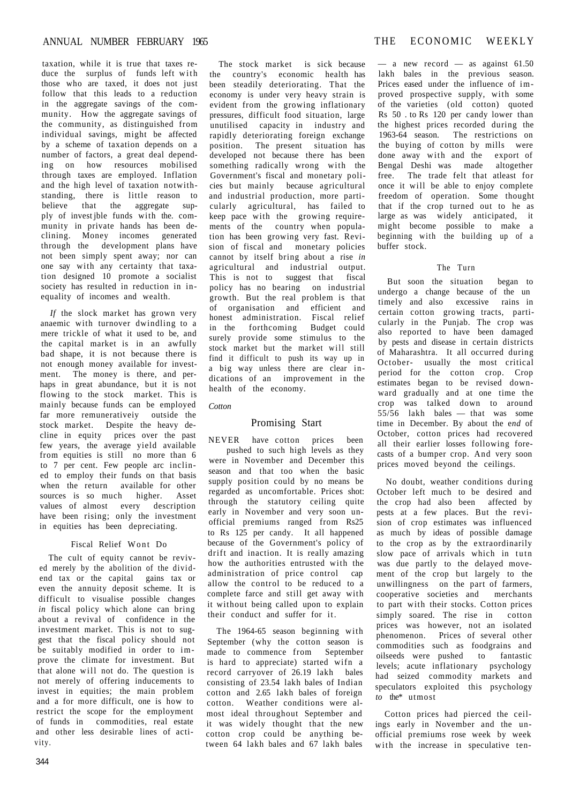taxation, while it is true that taxes reduce the surplus of funds left with those who are taxed, it does not just follow that this leads to a reduction in the aggregate savings of the community. How the aggregate savings of the community, as distinguished from individual savings, might be affected by a scheme of taxation depends on a number of factors, a great deal depending on how resources mobilised through taxes are employed. Inflation and the high level of taxation notwithstanding, there is little reason to believe that the aggregate supply of invest jble funds with the. community in private hands has been declining. Money incomes generated through the development plans have not been simply spent away; nor can one say with any certainty that taxation designed 10 promote a socialist society has resulted in reduction in inequality of incomes and wealth.

*If* the slock market has grown very anaemic with turnover dwindling to a mere trickle of what it used to be, and the capital market is in an awfully bad shape, it is not because there is not enough money available for investment. The money is there, and perhaps in great abundance, but it is not flowing to the stock market. This is mainly because funds can be employed far more remunerativeiy outside the stock market. Despite the heavy decline in equity prices over the past few years, the average yield available from equities is still no more than 6 to 7 per cent. Few people arc inclined to employ their funds on that basis when the return available for other sources is so much higher. Asset values of almost every description have been rising; only the investment in equities has been depreciating.

# Fiscal Relief Wont Do

The cult of equity cannot be revived merely by the abolition of the dividend tax or the capital gains tax or even the annuity deposit scheme. It is difficult to visualise possible changes *in* fiscal policy which alone can bring about a revival of confidence in the investment market. This is not to suggest that the fiscal policy should not be suitably modified in order to improve the climate for investment. But that alone will not do. The question is not merely of offering inducements to invest in equities; the main problem and a for more difficult, one is how to restrict the scope for the employment of funds in commodities, real estate and other less desirable lines of activity.

The stock market is sick because the country's economic health has been steadily deteriorating. That the economy is under very heavy strain is evident from the growing inflationary pressures, difficult food situation, large unutilised capacity in industry and rapidly deteriorating foreign exchange position. The present situation has developed not because there has been something radically wrong with the Government's fiscal and monetary policies but mainly because agricultural and industrial production, more particularly agricultural, has failed to keep pace with the growing requirements of the country when population has been growing very fast. Revision of fiscal and monetary policies cannot by itself bring about a rise *in*  agricultural and industrial output. This is not to suggest that fiscal policy has no bearing on industrial growth. But the real problem is that of organisation and efficient and honest administration. Fiscal relief in the forthcoming Budget could surely provide some stimulus to the stock market but the market will still find it difficult to push its way up in a big way unless there are clear indications of an improvement in the health of the economy.

*Cotton* 

## Promising Start

NEVER have cotton prices been pushed to such high levels as they were in November and December this season and that too when the basic supply position could by no means be regarded as uncomfortable. Prices shot: through the statutory ceiling quite early in November and very soon unofficial premiums ranged from Rs25 to Rs 125 per candy. It all happened because of the Government's policy of drift and inaction. It is really amazing how the authorities entrusted with the administration of price control cap allow the control to be reduced to a complete farce and still get away with it without being called upon to explain their conduct and suffer for it.

The 1964-65 season beginning with September (why the cotton season is made to commence from September is hard to appreciate) started wifn a record carryover of 26.19 lakh bales consisting of 23.54 lakh bales of Indian cotton and 2.65 lakh bales of foreign cotton. Weather conditions were almost ideal throughout September and it was widely thought that the new cotton crop could be anything between 64 lakh bales and 67 lakh bales

 $-$  a new record  $-$  as against 61.50 lakh bales in the previous season. Prices eased under the influence of improved prospective supply, with some of the varieties (old cotton) quoted Rs 50 . to Rs 120 per candy lower than the highest prices recorded during the 1963-64 season. The restrictions on the buying of cotton by mills were done away with and the export of Bengal Deshi was made altogether free. The trade felt that atleast for once it will be able to enjoy complete freedom of operation. Some thought that if the crop turned out to he as large as was widely anticipated, it might become possible to make a beginning with the building up of a buffer stock.

## The Turn

But soon the situation began to undergo a change because of the un timely and also excessive rains in certain cotton growing tracts, particularly in the Punjab. The crop was also reported to have been damaged by pests and disease in certain districts of Maharashtra. It all occurred during October- usually the most critical period for the cotton crop. Crop estimates began to be revised downward gradually and at one time the crop was talked down to around 55/56 lakh bales — that was some time in December. By about the e*nd* of October, cotton prices had recovered all their earlier losses following forecasts of a bumper crop. And very soon prices moved beyond the ceilings.

No doubt, weather conditions during October left much to be desired and the crop had also been affected by pests at a few places. But the revision of crop estimates was influenced as much by ideas of possible damage to the crop as by the extraordinarily slow pace of arrivals which in tutn was due partly to the delayed movement of the crop but largely to the unwillingness on the part of farmers, cooperative societies and merchants to part with their stocks. Cotton prices simply soared. The rise in cotton prices was however, not an isolated phenomenon. Prices of several other commodities such as foodgrains and oilseeds were pushed to fantastic levels; acute inflationary psychology had seized commodity markets and speculators exploited this psychology *to* the\* utmost

Cotton prices had pierced the ceilings early in November and the unofficial premiums rose week by week with the increase in speculative ten-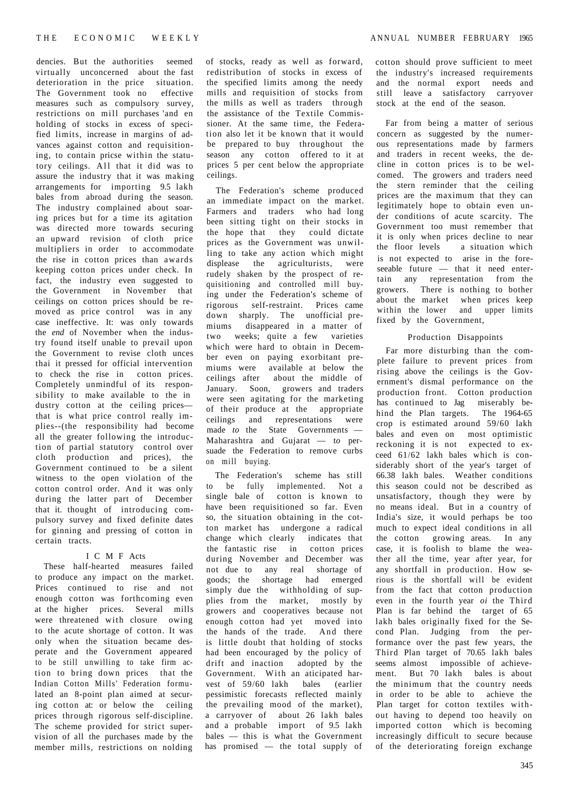dencies. But the authorities seemed virtually unconcerned about the fast deterioration in the price situation. The Government took no effective measures such as compulsory survey, restrictions on mill purchases 'and en holding of stocks in excess of specified limits, increase in margins of advances against cotton and requisitioning, to contain pricse within the statutory ceilings. All that it did was to assure the industry that it was making arrangements for importing 9.5 lakh bales from abroad during the season. The industry complained about soaring prices but for a time its agitation was directed more towards securing an upward revision of cloth price multipliers in order to accommodate the rise in cotton prices than awards keeping cotton prices under check. In fact, the industry even suggested to the Government in November that ceilings on cotton prices should be removed as price control was in any case ineffective. It: was only towards the *end* of November when the industry found itself unable to prevail upon the Government to revise cloth unces thai it pressed for official intervention to check the rise in cotton prices. Completely unmindful of its responsibility to make available to the in dustry cotton at the ceiling prices that is what price control really implies--(the responsibility had become all the greater following the introduction of partial statutory control over cloth production and prices), the Government continued to be a silent witness to the open violation of the cotton control order. And it was only during the latter part of December that it. thought of introducing compulsory survey and fixed definite dates for ginning and pressing of cotton in certain tracts.

## I C M F Acts

These half-hearted measures failed to produce any impact on the market. Prices continued to rise and not enough cotton was forthcoming even at the higher prices. Several mills were threatened with closure owing to the acute shortage of cotton. It was only when the situation became desperate and the Government appeared to be still unwilling to take firm action to bring down prices that the Indian Cotton Mills' Federation formulated an 8-point plan aimed at securing cotton at: or below the ceiling prices through rigorous self-discipline. The scheme provided for strict supervision of all the purchases made by the member mills, restrictions on nolding of stocks, ready as well as forward, redistribution of stocks in excess of the specified limits among the needy mills and requisition of stocks from the mills as well as traders through the assistance of the Textile Commissioner. At the same time, the Federation also let it be known that it would be prepared to buy throughout the season any cotton offered to it at prices 5 per cent below the appropriate ceilings.

The Federation's scheme produced an immediate impact on the market. Farmers and traders who had long been sitting tight on their stocks in the hope that they could dictate prices as the Government was unwilling to take any action which might displease the agriculturists, were rudely shaken by the prospect of requisitioning and controlled mill buying under the Federation's scheme of rigorous self-restraint. Prices came down sharply. The unofficial premiums disappeared in a matter of two weeks; quite a few varieties which were hard to obtain in December even on paying exorbitant premiums were available at below the ceilings after about the middle of January. Soon, growers and traders were seen agitating for the marketing of their produce at the appropriate ceilings and representations were made *to* the State Governments — Maharashtra and Gujarat — t*o* persuade the Federation to remove curbs on mill buying.

The Federation's scheme has still to be fully implemented. Not a single bale of cotton is known to have been requisitioned so far. Even so, the situation obtaining in the cotton market has undergone a radical change which clearly indicates that the fantastic rise in cotton prices during November and December was not due to any real shortage of goods; the shortage had emerged simply due the withholding of supplies from the market, mostly by growers and cooperatives because not enough cotton had yet moved into the hands of the trade. And there is little doubt that holding of stocks had been encouraged by the policy of drift and inaction adopted by the Government. With an aticipated harvest of 59/60 lakh bales (earlier pessimistic forecasts reflected mainly the prevailing mood of the market), a carryover of about 26 lakh bales and a probable import of 9.5 lakh bales — this is what the Government has promised — the total supply of

cotton should prove sufficient to meet the industry's increased requirements and the normal export needs and still leave a satisfactory carryover stock at the end of the season.

Far from being a matter of serious concern as suggested by the numerous representations made by farmers and traders in recent weeks, the decline in cotton prices is to be welcomed. The growers and traders need the stern reminder that the ceiling prices are the maximum that they can legitimately hope to obtain even under conditions of acute scarcity. The Government too must remember that it is only when prices decline to near<br>the floor levels a situation which a situation which is not expected to arise in the foreseeable future — that it need entertain any representation from the growers. There is nothing to bother about the market when prices keep within the lower and upper limits fixed by the Government,

## Production Disappoints

Far more disturbing than the complete failure to prevent prices from rising above the ceilings is the Government's dismal performance on the production front. Cotton production has continued to Jag miserably behind the Plan targets. The 1964-65 crop is estimated around 59/60 lakh bales and even on most optimistic reckoning it is not expected to exceed 61/62 lakh bales which is considerably short of the year's target of 66.38 lakh bales. Weather conditions this season could not be described as unsatisfactory, though they were by no means ideal. But in a country of India's size, it would perhaps be too much to expect ideal conditions in all the cotton growing areas. In any case, it is foolish to blame the weather all the time, year after year, for any shortfall in production. How serious is the shortfall will be evident from the fact that cotton production even in the fourth year *oi* the Third Plan is far behind the target of 65 lakh bales originally fixed for the Second Plan. Judging from the performance over the past few years, the Third Plan target of 70.65 lakh bales seems almost impossible of achievement. But 70 lakh bales is about the minimum that the country needs in order to be able to achieve the Plan target for cotton textiles without having to depend too heavily on imported cotton which is becoming increasingly difficult to secure because of the deteriorating foreign exchange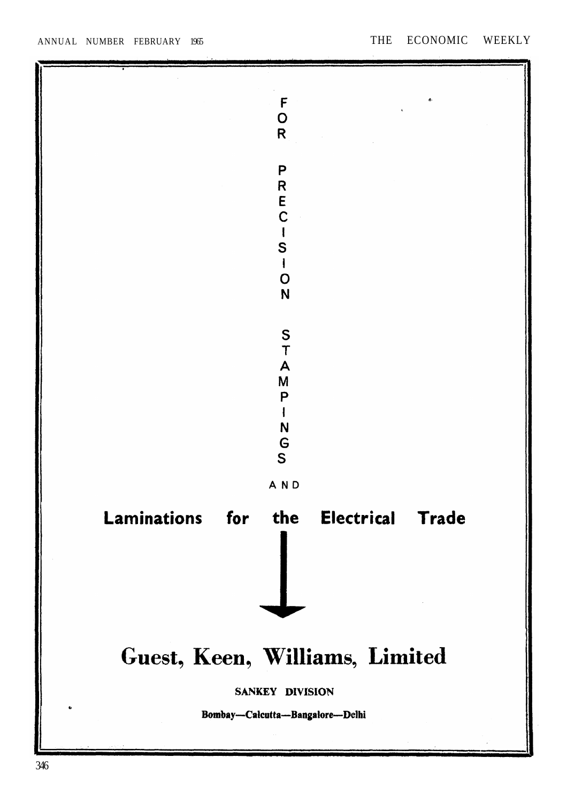ANNUAL NUMBER FEBRUARY 1965

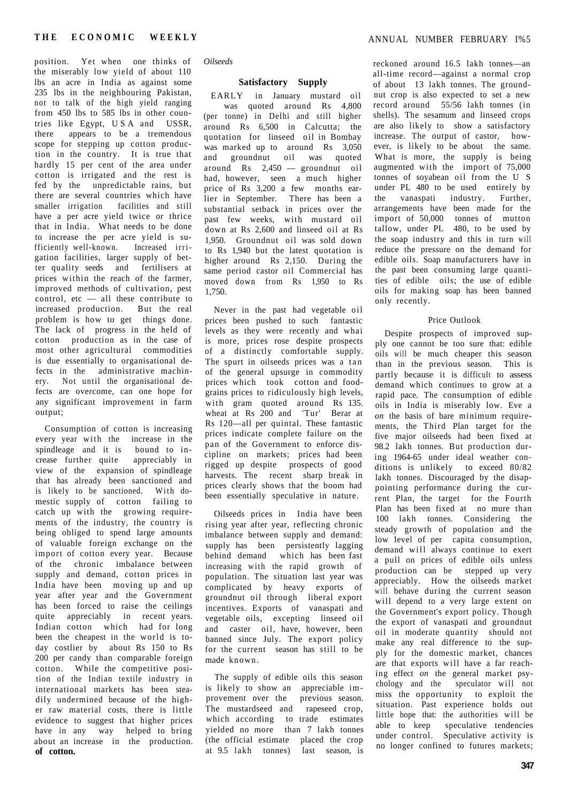position. Yet when one thinks of the miserably low yield of about 110 lbs an acre in India as against some 235 lbs in the neighbouring Pakistan, not to talk of the high yield ranging from 450 lbs to 585 lbs in other countries like Egypt, US A and USSR, there appears to be a tremendous scope for stepping up cotton production in the country. It is true that hardly 15 per cent of the area under cotton is irrigated and the rest is fed by the unpredictable rains, but there are several countries which have smaller irrigation facilities and still have a per acre yield twice or thrice that in India. What needs to be done to increase the per acre yield is sufficiently well-known. Increased irrigation facilities, larger supply of better quality seeds and fertilisers at prices within the reach of the farmer, improved methods of cultivation, pest control, etc — all these contribute to increased production. But the real problem is how to get things done. The lack of progress in the held of cotton production as in the case of most other agricultural commodities is due essentially to organisational defects in the administrative machinery. Not until the organisational defects are overcome, can one hope for any significant improvement in farm output;

Consumption of cotton is increasing every year with the increase in the spindleage and it is bound to increase further quite appreciably in view of the expansion of spindleage that has already been sanctioned and is likely to be sanctioned. With domestic supply of cotton failing to catch up with the growing requirements of the industry, the country is being obliged to spend large amounts of valuable foreign exchange on the import of cotton every year. Because of the chronic imbalance between supply and demand, cotton prices in India have been moving up and up year after year and the Government has been forced to raise the ceilings quite appreciably in recent years. Indian cotton which had for long been the cheapest in the world is today costlier by about Rs 150 to Rs 200 per candy than comparable foreign cotton. While the competitive position of the Indian textile industry in international markets has been steadily undermined because of the higher raw material costs, there is little evidence to suggest that higher prices have in any way helped to bring about an increase in the production. **of cotton.** 

*Oilseeds* 

# **Satisfactory Supply**

EARLY in January mustard oil was quoted around Rs 4,800 (per tonne) in Delhi and still higher around Rs 6,500 in Calcutta; the quotation for linseed oil in Bombay was marked up to around Rs 3,050 and groundnut oil was quoted around Rs 2,450 — groundnut oil had, however, seen a much higher price of Rs 3,200 a few months earlier in September. There has been a substantial setback in prices over the past few weeks, with mustard oil down at Rs 2,600 and linseed oil at Rs 1,950. Groundnut oil was sold down to Rs 1,940 but the latest quotation is higher around Rs 2,150. During the same period castor oil Commercial has moved down from Rs 1,950 to Rs 1,750.

Never in the past had vegetable oil prices been pushed to such fantastic levels as they were recently and whai is more, prices rose despite prospects of a distinctly comfortable supply. The spurt in oilseeds prices was a tan of the general upsurge in commodity prices which took cotton and foodgrains prices to ridiculously high levels, with gram quoted around Rs 135. wheat at Rs 200 and 'Tur' Berar at Rs 120—all per quintal. These fantastic prices indicate complete failure on the pan of the Government to enforce discipline on markets; prices had been rigged up despite prospects of good harvests. The recent sharp break in prices clearly shows that the boom had been essentially speculative in nature.

Oilseeds prices in India have been rising year after year, reflecting chronic imbalance between supply and demand: supply has been persistently lagging behind demand which has been fast increasing with the rapid growth of population. The situation last year was complicated by heavy exports of groundnut oil through liberal export incentives. Exports of vanaspati and vegetable oils, excepting linseed oil and caster oil, have, however, been banned since July. The export policy for the current season has still to be made known.

The supply of edible oils this season is likely to show an appreciable improvement over the previous season. The mustardseed and rapeseed crop, which according to trade estimates yielded no more than 7 lakh tonnes (the official estimate placed the crop at 9.5 lakh tonnes) last season, is reckoned around 16.5 lakh tonnes—an all-time record—against a normal crop of about 13 lakh tonnes. The groundnut crop is also expected to set a new record around 55/56 lakh tonnes (in shells). The sesamum and linseed crops are also likely to show a satisfactory increase. The output of castor, however, is likely to be about the same. What is more, the supply is being augmented with the import of 75,000 tonnes of soyabean oil from the U S under PL 480 to be used entirely by the vanaspati industry. Further, arrangements have been made for the import of 50,000 tonnes of mutton tallow, under PL 480, to be used by the soap industry and this in turn will reduce the pressure on the demand for edible oils. Soap manufacturers have in the past been consuming large quantities of edible oils; the use of edible oils for making soap has been banned only recently.

#### Price Outlook

Despite prospects of improved supply one cannot be too sure that: edible oils will be much cheaper this season than in the previous season. This is partly because it is difficult to assess demand which continues to grow at a rapid pace. The consumption of edible oils in India is miserably low. Eve a *on* the basis of bare minimum requirements, the Third Plan target for the five major oilseeds had been fixed at 98.2 lakh tonnes. But production during 1964-65 under ideal weather conditions is unlikely to exceed 80/82 lakh tonnes. Discouraged by the disappointing performance during the current Plan, the target for the Fourth Plan has been fixed at no mure than 100 lakh tonnes. Considering the steady growth of population and the low level of per capita consumption, demand will always continue to exert a pull on prices of edible oils unless production can be stepped up very appreciably. How the oilseeds market will behave during the current season will depend to a very large extent on the Government's export policy. Though the export of vanaspati and groundnut oil in moderate quantity should not make any real difference to the supply for the domestic market, chances are that exports will have a far reaching effect *on* the general market psychology and the speculator will not miss the opportunity to exploit the situation. Past experience holds out little hope that: the authorities will be able to keep speculative tendencies under control. Speculative activity is no longer confined to futures markets;